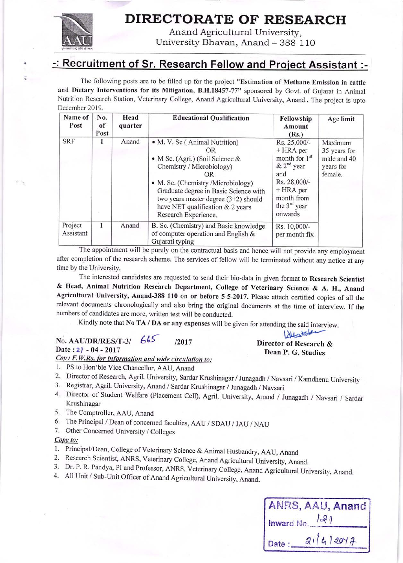

a

. .:

## DIRECTORATE OF RESEARCH

Anand Agricultural University, University Bhavan, Anand - 388 110

### -: Recruitment of Sr. Research Fellow and Project Assistant :-

The following posts are to be filled up for the project "Estimation of Methane Emission in cattle and Dietary Interventions for its Mitigation, B.H.18457-77" sponsored by Govt. of Gujarat in Animal Nutrition Research Station, Veterinary College, Anand Agricultural University, Anand.. The project is upto December 2019.

| Name of<br>Post      | No.<br>of<br>Post | Head<br>quarter | <b>Educational Qualification</b>                                                                                                                                                                                                                                                               | Fellowship<br>Amount<br>(Rs.)                                                                                                                           | Age limit                                                      |
|----------------------|-------------------|-----------------|------------------------------------------------------------------------------------------------------------------------------------------------------------------------------------------------------------------------------------------------------------------------------------------------|---------------------------------------------------------------------------------------------------------------------------------------------------------|----------------------------------------------------------------|
| <b>SRF</b>           | 1                 | Anand           | • M. V. Sc (Animal Nutrition)<br>OR<br>• M Sc. (Agri.) (Soil Science &<br>Chemistry / Microbiology)<br>OR<br>• M. Sc. (Chemistry /Microbiology)<br>Graduate degree in Basic Science with<br>two years master degree $(3+2)$ should<br>have NET qualification & 2 years<br>Research Experience. | Rs. 25,000/-<br>+ HRA per<br>month for 1 <sup>st</sup><br>$& 2nd$ year<br>and<br>Rs. 28,000/-<br>$+ HRA$ per<br>month from<br>the $3rd$ year<br>onwards | Maximum<br>35 years for<br>male and 40<br>years for<br>female. |
| Project<br>Assistant | 1                 | Anand           | B. Sc. (Chemistry) and Basic knowledge<br>of computer operation and English &<br>Gujarati typing                                                                                                                                                                                               | Rs. 10,000/-<br>per month fix                                                                                                                           |                                                                |

The appointment will be purely on the contractual basis and hence will not provide any employment after completion of the research scheme. The services of fellow will be terminated without any notice at any time by the University.

The interested candidates are requested to send their bio-data in given format to Research Scientist & Head, Animal Nutrition Research Department, College of Veterinary Science & A. H., Anand Agricultural University, Anand-388 110 on or before 5-5-2017. Please attach certified copies of all the relevant documents chronologically and also bring the original documents at the time of interview. If the numbers of candidates are more, written test will be conducted.

Kindly note that No TA / DA or any expenses will be given for attending the said interview.

# No. AAU/DR/RES/T-3/ 665<br>Director of Research &<br>Director of Research &<br>Dean P. G. Studies Date  $: 2$ ) - 04 - 2017<br>Copy F.W.Rs. for information and wide circulation to:

- 
- 1. PS to Hon'ble Vice Chancellor, AAU, Anand<br>2. Director of Research, Agril. University, Sardar Krushinagar / Junagadh / Navsari / Kamdhenu University
- 
- 3. Registrar, Agril. University, Anand / Sardar Krushinagar / Junagadh / Navsari<br>4. Director of Student Welfare (Placement Cell), Agril. University, Anand / Junagadh / Navsari / Sardar Krushinagar
- 5. The Comptroller, AAU, Anand
- 6. The Principal / Dean of concerned faculties, AAU / SDAU / JAU / NAU 7. Other Concerned University / Colleges
- 

- Copy to:<br>1. Principal/Dean, College of Veterinary Science & Animal Husbandry, AAU, Anand
- 
- 2. Research Scientist, ANRS, Veterinary College, Anand Agricultural University, Anand.<br>3. Dr. P. R. Pandya, PI and Professor, ANRS, Veterinary College, Anand Agricultural University, Anand.<br>4. All Unit / Sub-Unit Officer o
- 

|            |          | ANRS, AAU, Anand |
|------------|----------|------------------|
| Inward No. | 129      |                  |
| Date:      | 21412017 |                  |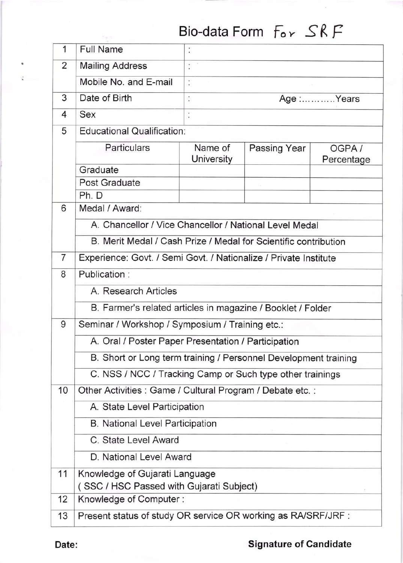# Bio-data Form  $For SRF$

| 1              | <b>Full Name</b>                                                |                                                                  |              |                     |  |  |
|----------------|-----------------------------------------------------------------|------------------------------------------------------------------|--------------|---------------------|--|--|
| 2              | <b>Mailing Address</b>                                          |                                                                  |              |                     |  |  |
|                | Mobile No. and E-mail                                           |                                                                  |              |                     |  |  |
| 3              | Date of Birth                                                   | Age :Years                                                       |              |                     |  |  |
| 4              | Sex                                                             |                                                                  |              |                     |  |  |
| 5              | <b>Educational Qualification:</b>                               |                                                                  |              |                     |  |  |
|                | Particulars                                                     | Name of<br>University                                            | Passing Year | OGPA/<br>Percentage |  |  |
|                | Graduate                                                        |                                                                  |              |                     |  |  |
|                | Post Graduate                                                   |                                                                  |              |                     |  |  |
|                | Ph. D                                                           |                                                                  |              |                     |  |  |
| 6              | Medal / Award:                                                  |                                                                  |              |                     |  |  |
|                | A. Chancellor / Vice Chancellor / National Level Medal          |                                                                  |              |                     |  |  |
|                | B. Merit Medal / Cash Prize / Medal for Scientific contribution |                                                                  |              |                     |  |  |
| $\overline{7}$ |                                                                 | Experience: Govt. / Semi Govt. / Nationalize / Private Institute |              |                     |  |  |
| 8              | Publication:                                                    |                                                                  |              |                     |  |  |
|                | A. Research Articles                                            |                                                                  |              |                     |  |  |
|                | B. Farmer's related articles in magazine / Booklet / Folder     |                                                                  |              |                     |  |  |
| 9              | Seminar / Workshop / Symposium / Training etc.:                 |                                                                  |              |                     |  |  |
|                | A. Oral / Poster Paper Presentation / Participation             |                                                                  |              |                     |  |  |
|                | B. Short or Long term training / Personnel Development training |                                                                  |              |                     |  |  |
|                | C. NSS / NCC / Tracking Camp or Such type other trainings       |                                                                  |              |                     |  |  |
| 10             | Other Activities : Game / Cultural Program / Debate etc. :      |                                                                  |              |                     |  |  |
|                | A. State Level Participation                                    |                                                                  |              |                     |  |  |
|                | <b>B. National Level Participation</b>                          |                                                                  |              |                     |  |  |
|                | C. State Level Award                                            |                                                                  |              |                     |  |  |
|                | D. National Level Award                                         |                                                                  |              |                     |  |  |
| 11             | Knowledge of Gujarati Language                                  |                                                                  |              |                     |  |  |
|                | (SSC / HSC Passed with Gujarati Subject)                        |                                                                  |              |                     |  |  |
| 12             | Knowledge of Computer:                                          |                                                                  |              |                     |  |  |
| 13             | Present status of study OR service OR working as RA/SRF/JRF :   |                                                                  |              |                     |  |  |